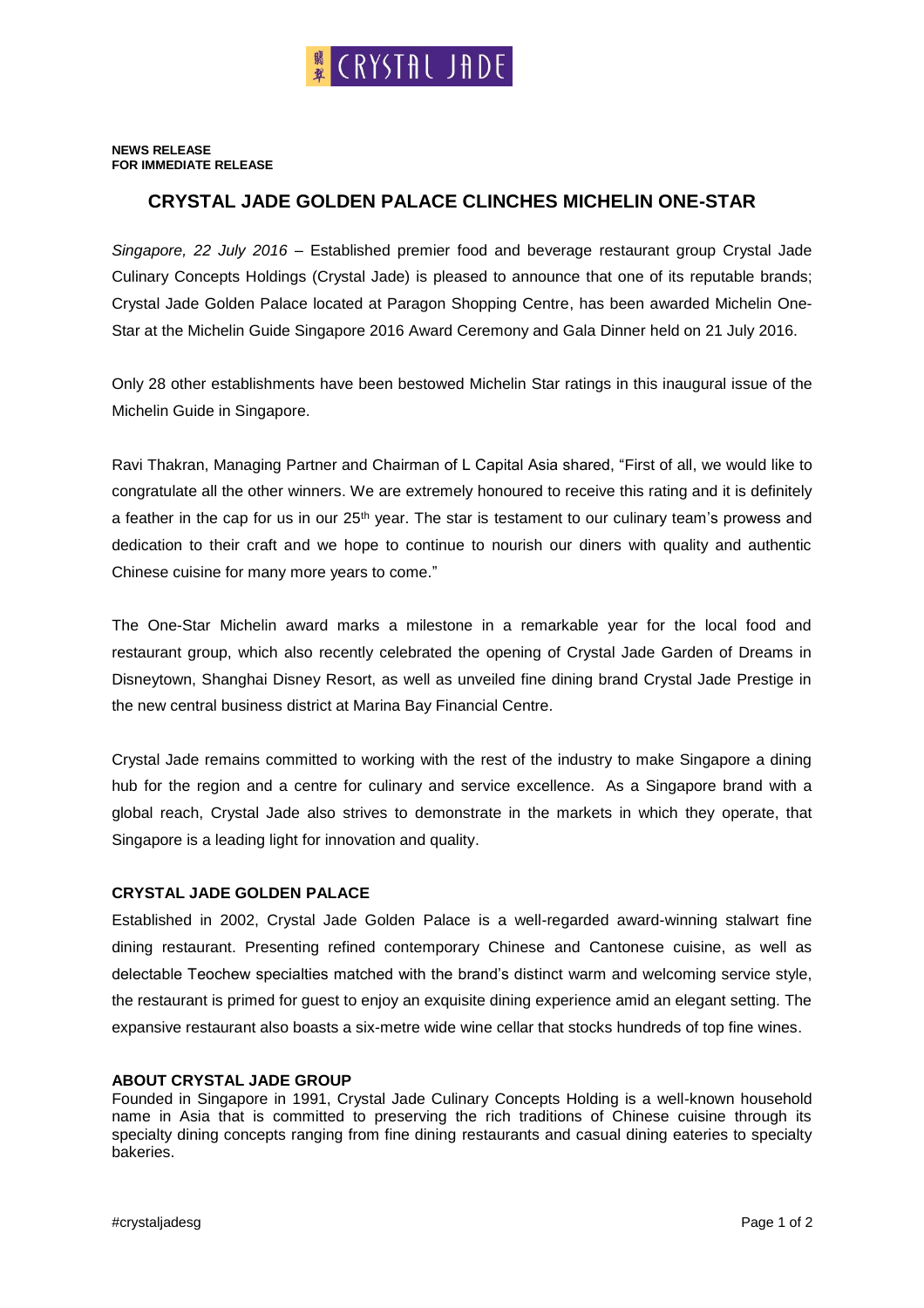## **NEWS RELEASE FOR IMMEDIATE RELEASE**

## **CRYSTAL JADE GOLDEN PALACE CLINCHES MICHELIN ONE-STAR**

*Singapore, 22 July 2016* – Established premier food and beverage restaurant group Crystal Jade Culinary Concepts Holdings (Crystal Jade) is pleased to announce that one of its reputable brands; Crystal Jade Golden Palace located at Paragon Shopping Centre, has been awarded Michelin One-Star at the Michelin Guide Singapore 2016 Award Ceremony and Gala Dinner held on 21 July 2016.

Only 28 other establishments have been bestowed Michelin Star ratings in this inaugural issue of the Michelin Guide in Singapore.

Ravi Thakran, Managing Partner and Chairman of L Capital Asia shared, "First of all, we would like to congratulate all the other winners. We are extremely honoured to receive this rating and it is definitely a feather in the cap for us in our 25<sup>th</sup> year. The star is testament to our culinary team's prowess and dedication to their craft and we hope to continue to nourish our diners with quality and authentic Chinese cuisine for many more years to come."

The One-Star Michelin award marks a milestone in a remarkable year for the local food and restaurant group, which also recently celebrated the opening of Crystal Jade Garden of Dreams in Disneytown, Shanghai Disney Resort, as well as unveiled fine dining brand Crystal Jade Prestige in the new central business district at Marina Bay Financial Centre.

Crystal Jade remains committed to working with the rest of the industry to make Singapore a dining hub for the region and a centre for culinary and service excellence. As a Singapore brand with a global reach, Crystal Jade also strives to demonstrate in the markets in which they operate, that Singapore is a leading light for innovation and quality.

## **CRYSTAL JADE GOLDEN PALACE**

Established in 2002, Crystal Jade Golden Palace is a well-regarded award-winning stalwart fine dining restaurant. Presenting refined contemporary Chinese and Cantonese cuisine, as well as delectable Teochew specialties matched with the brand's distinct warm and welcoming service style, the restaurant is primed for guest to enjoy an exquisite dining experience amid an elegant setting. The expansive restaurant also boasts a six-metre wide wine cellar that stocks hundreds of top fine wines.

## **ABOUT CRYSTAL JADE GROUP**

Founded in Singapore in 1991, Crystal Jade Culinary Concepts Holding is a well-known household name in Asia that is committed to preserving the rich traditions of Chinese cuisine through its specialty dining concepts ranging from fine dining restaurants and casual dining eateries to specialty bakeries.